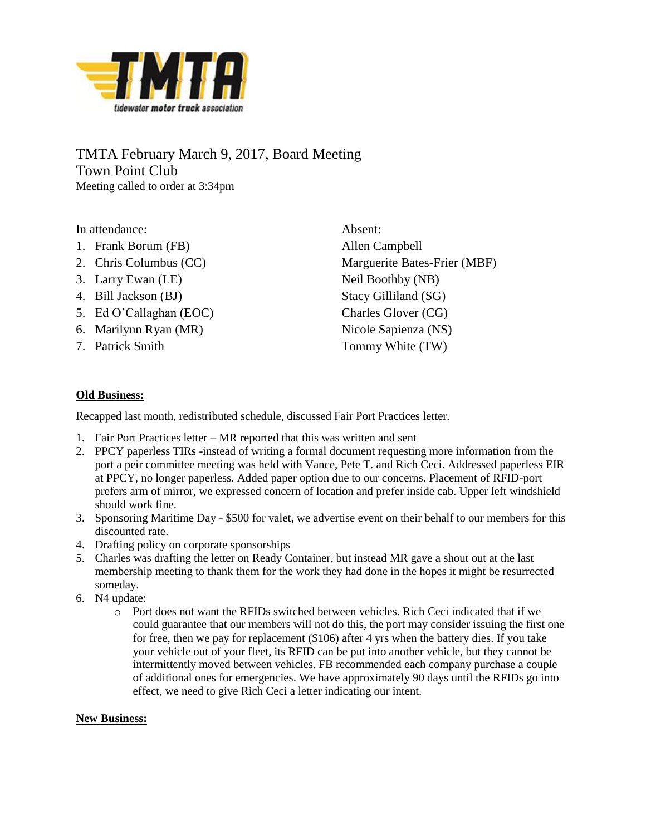

## TMTA February March 9, 2017, Board Meeting Town Point Club Meeting called to order at 3:34pm

In attendance:

- 1. Frank Borum (FB)
- 2. Chris Columbus (CC)
- 3. Larry Ewan (LE)
- 4. Bill Jackson (BJ)
- 5. Ed O'Callaghan (EOC)
- 6. Marilynn Ryan (MR)
- 7. Patrick Smith

Absent: Allen Campbell Marguerite Bates-Frier (MBF) Neil Boothby (NB) Stacy Gilliland (SG) Charles Glover (CG) Nicole Sapienza (NS) Tommy White (TW)

## **Old Business:**

Recapped last month, redistributed schedule, discussed Fair Port Practices letter.

- 1. Fair Port Practices letter MR reported that this was written and sent
- 2. PPCY paperless TIRs -instead of writing a formal document requesting more information from the port a peir committee meeting was held with Vance, Pete T. and Rich Ceci. Addressed paperless EIR at PPCY, no longer paperless. Added paper option due to our concerns. Placement of RFID-port prefers arm of mirror, we expressed concern of location and prefer inside cab. Upper left windshield should work fine.
- 3. Sponsoring Maritime Day \$500 for valet, we advertise event on their behalf to our members for this discounted rate.
- 4. Drafting policy on corporate sponsorships
- 5. Charles was drafting the letter on Ready Container, but instead MR gave a shout out at the last membership meeting to thank them for the work they had done in the hopes it might be resurrected someday.
- 6. N4 update:
	- o Port does not want the RFIDs switched between vehicles. Rich Ceci indicated that if we could guarantee that our members will not do this, the port may consider issuing the first one for free, then we pay for replacement (\$106) after 4 yrs when the battery dies. If you take your vehicle out of your fleet, its RFID can be put into another vehicle, but they cannot be intermittently moved between vehicles. FB recommended each company purchase a couple of additional ones for emergencies. We have approximately 90 days until the RFIDs go into effect, we need to give Rich Ceci a letter indicating our intent.

## **New Business:**